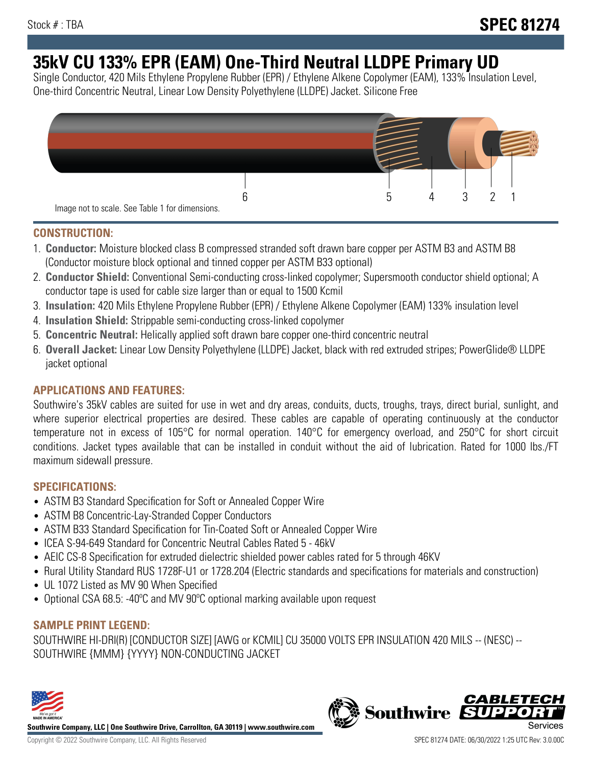# **35kV CU 133% EPR (EAM) One-Third Neutral LLDPE Primary UD**

Single Conductor, 420 Mils Ethylene Propylene Rubber (EPR) / Ethylene Alkene Copolymer (EAM), 133% Insulation Level, One-third Concentric Neutral, Linear Low Density Polyethylene (LLDPE) Jacket. Silicone Free



## **CONSTRUCTION:**

- 1. **Conductor:** Moisture blocked class B compressed stranded soft drawn bare copper per ASTM B3 and ASTM B8 (Conductor moisture block optional and tinned copper per ASTM B33 optional)
- 2. **Conductor Shield:** Conventional Semi-conducting cross-linked copolymer; Supersmooth conductor shield optional; A conductor tape is used for cable size larger than or equal to 1500 Kcmil
- 3. **Insulation:** 420 Mils Ethylene Propylene Rubber (EPR) / Ethylene Alkene Copolymer (EAM) 133% insulation level
- 4. **Insulation Shield:** Strippable semi-conducting cross-linked copolymer
- 5. **Concentric Neutral:** Helically applied soft drawn bare copper one-third concentric neutral
- 6. **Overall Jacket:** Linear Low Density Polyethylene (LLDPE) Jacket, black with red extruded stripes; PowerGlide® LLDPE jacket optional

# **APPLICATIONS AND FEATURES:**

Southwire's 35kV cables are suited for use in wet and dry areas, conduits, ducts, troughs, trays, direct burial, sunlight, and where superior electrical properties are desired. These cables are capable of operating continuously at the conductor temperature not in excess of 105°C for normal operation. 140°C for emergency overload, and 250°C for short circuit conditions. Jacket types available that can be installed in conduit without the aid of lubrication. Rated for 1000 lbs./FT maximum sidewall pressure.

## **SPECIFICATIONS:**

- ASTM B3 Standard Specification for Soft or Annealed Copper Wire
- ASTM B8 Concentric-Lay-Stranded Copper Conductors
- ASTM B33 Standard Specification for Tin-Coated Soft or Annealed Copper Wire
- ICEA S-94-649 Standard for Concentric Neutral Cables Rated 5 46kV
- AEIC CS-8 Specification for extruded dielectric shielded power cables rated for 5 through 46KV
- Rural Utility Standard RUS 1728F-U1 or 1728.204 (Electric standards and specifications for materials and construction)
- UL 1072 Listed as MV 90 When Specified
- Optional CSA 68.5: -40°C and MV 90°C optional marking available upon request

# **SAMPLE PRINT LEGEND:**

SOUTHWIRE HI-DRI(R) [CONDUCTOR SIZE] [AWG or KCMIL] CU 35000 VOLTS EPR INSULATION 420 MILS -- (NESC) -- SOUTHWIRE {MMM} {YYYY} NON-CONDUCTING JACKET



**Southwire Company, LLC | One Southwire Drive, Carrollton, GA 30119 | www.southwire.com**